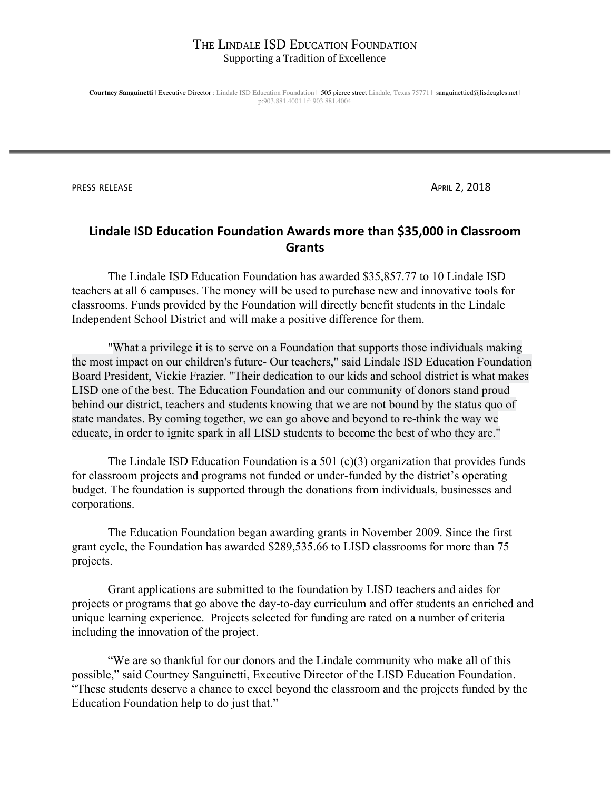**Courtney Sanguinetti** | Executive Director : Lindale ISD Education Foundation | 505 pierce street Lindale, Texas 75771 | sanguinetticd@lisdeagles.net | p:903.881.4001 | f: 903.881.4004

**PRESS RELEASE APRIL 2, 2018** 

# **Lindale ISD Education Foundation Awards more than \$35,000 in Classroom Grants**

The Lindale ISD Education Foundation has awarded \$35,857.77 to 10 Lindale ISD teachers at all 6 campuses. The money will be used to purchase new and innovative tools for classrooms. Funds provided by the Foundation will directly benefit students in the Lindale Independent School District and will make a positive difference for them.

"What a privilege it is to serve on a Foundation that supports those individuals making the most impact on our children's future- Our teachers," said Lindale ISD Education Foundation Board President, Vickie Frazier. "Their dedication to our kids and school district is what makes LISD one of the best. The Education Foundation and our community of donors stand proud behind our district, teachers and students knowing that we are not bound by the status quo of state mandates. By coming together, we can go above and beyond to re-think the way we educate, in order to ignite spark in all LISD students to become the best of who they are."

The Lindale ISD Education Foundation is a 501 (c)(3) organization that provides funds for classroom projects and programs not funded or under-funded by the district's operating budget. The foundation is supported through the donations from individuals, businesses and corporations.

The Education Foundation began awarding grants in November 2009. Since the first grant cycle, the Foundation has awarded \$289,535.66 to LISD classrooms for more than 75 projects.

Grant applications are submitted to the foundation by LISD teachers and aides for projects or programs that go above the day-to-day curriculum and offer students an enriched and unique learning experience. Projects selected for funding are rated on a number of criteria including the innovation of the project.

"We are so thankful for our donors and the Lindale community who make all of this possible," said Courtney Sanguinetti, Executive Director of the LISD Education Foundation. "These students deserve a chance to excel beyond the classroom and the projects funded by the Education Foundation help to do just that."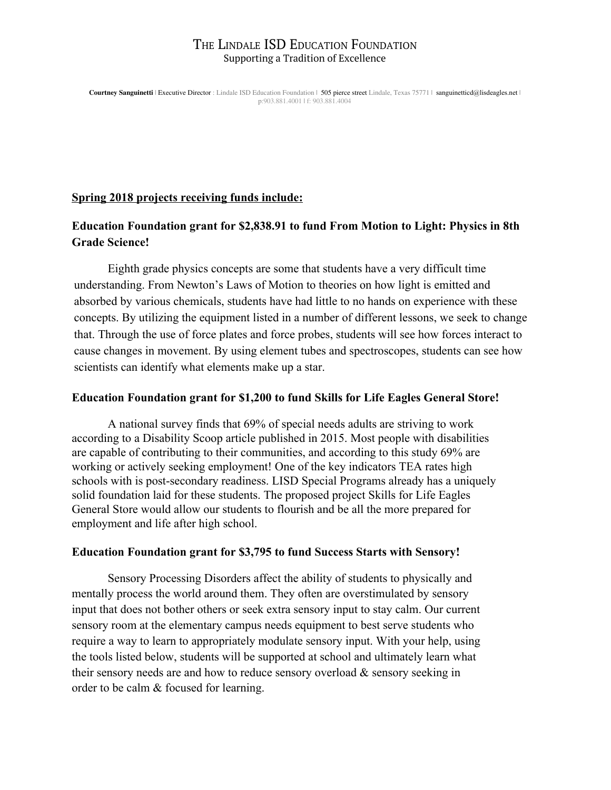**Courtney Sanguinetti** | Executive Director : Lindale ISD Education Foundation | 505 pierce street Lindale, Texas 75771 | sanguinetticd@lisdeagles.net | p:903.881.4001 | f: 903.881.4004

## **Spring 2018 projects receiving funds include:**

# **Education Foundation grant for \$2,838.91 to fund From Motion to Light: Physics in 8th Grade Science!**

Eighth grade physics concepts are some that students have a very difficult time understanding. From Newton's Laws of Motion to theories on how light is emitted and absorbed by various chemicals, students have had little to no hands on experience with these concepts. By utilizing the equipment listed in a number of different lessons, we seek to change that. Through the use of force plates and force probes, students will see how forces interact to cause changes in movement. By using element tubes and spectroscopes, students can see how scientists can identify what elements make up a star.

## **Education Foundation grant for \$1,200 to fund Skills for Life Eagles General Store!**

A national survey finds that 69% of special needs adults are striving to work according to a Disability Scoop article published in 2015. Most people with disabilities are capable of contributing to their communities, and according to this study 69% are working or actively seeking employment! One of the key indicators TEA rates high schools with is post-secondary readiness. LISD Special Programs already has a uniquely solid foundation laid for these students. The proposed project Skills for Life Eagles General Store would allow our students to flourish and be all the more prepared for employment and life after high school.

### **Education Foundation grant for \$3,795 to fund Success Starts with Sensory!**

Sensory Processing Disorders affect the ability of students to physically and mentally process the world around them. They often are overstimulated by sensory input that does not bother others or seek extra sensory input to stay calm. Our current sensory room at the elementary campus needs equipment to best serve students who require a way to learn to appropriately modulate sensory input. With your help, using the tools listed below, students will be supported at school and ultimately learn what their sensory needs are and how to reduce sensory overload & sensory seeking in order to be calm & focused for learning.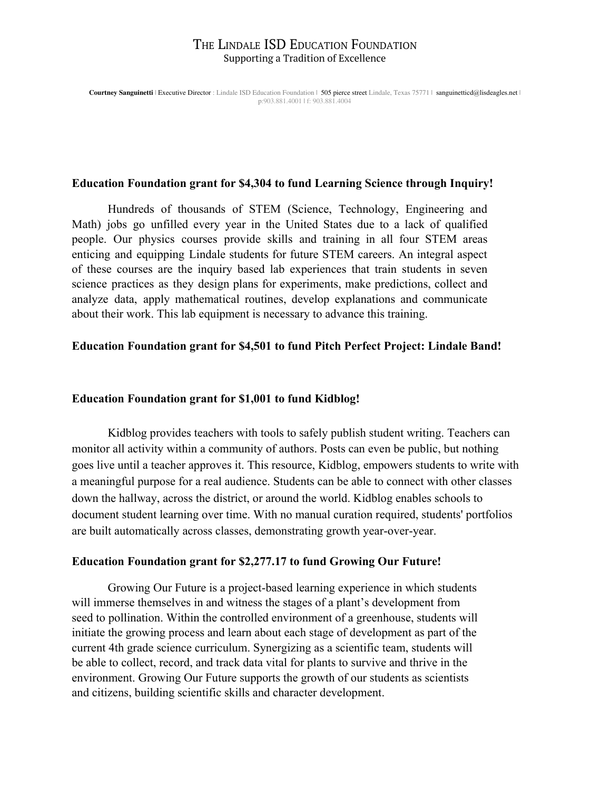**Courtney Sanguinetti** | Executive Director : Lindale ISD Education Foundation | 505 pierce street Lindale, Texas 75771 | sanguinetticd@lisdeagles.net | p:903.881.4001 | f: 903.881.4004

#### **Education Foundation grant for \$4,304 to fund Learning Science through Inquiry!**

Hundreds of thousands of STEM (Science, Technology, Engineering and Math) jobs go unfilled every year in the United States due to a lack of qualified people. Our physics courses provide skills and training in all four STEM areas enticing and equipping Lindale students for future STEM careers. An integral aspect of these courses are the inquiry based lab experiences that train students in seven science practices as they design plans for experiments, make predictions, collect and analyze data, apply mathematical routines, develop explanations and communicate about their work. This lab equipment is necessary to advance this training.

### **Education Foundation grant for \$4,501 to fund Pitch Perfect Project: Lindale Band!**

#### **Education Foundation grant for \$1,001 to fund Kidblog!**

Kidblog provides teachers with tools to safely publish student writing. Teachers can monitor all activity within a community of authors. Posts can even be public, but nothing goes live until a teacher approves it. This resource, Kidblog, empowers students to write with a meaningful purpose for a real audience. Students can be able to connect with other classes down the hallway, across the district, or around the world. Kidblog enables schools to document student learning over time. With no manual curation required, students' portfolios are built automatically across classes, demonstrating growth year-over-year.

#### **Education Foundation grant for \$2,277.17 to fund Growing Our Future!**

Growing Our Future is a project-based learning experience in which students will immerse themselves in and witness the stages of a plant's development from seed to pollination. Within the controlled environment of a greenhouse, students will initiate the growing process and learn about each stage of development as part of the current 4th grade science curriculum. Synergizing as a scientific team, students will be able to collect, record, and track data vital for plants to survive and thrive in the environment. Growing Our Future supports the growth of our students as scientists and citizens, building scientific skills and character development.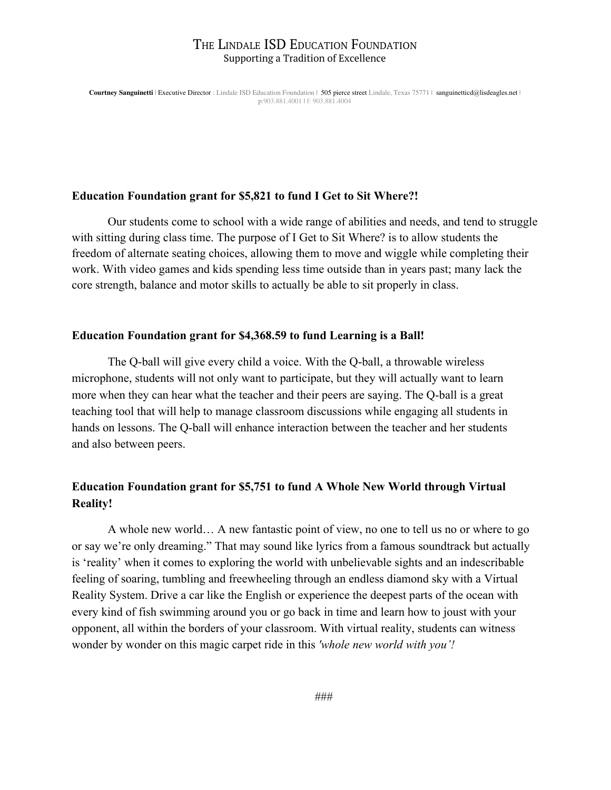**Courtney Sanguinetti** | Executive Director : Lindale ISD Education Foundation | 505 pierce street Lindale, Texas 75771 | sanguinetticd@lisdeagles.net | p:903.881.4001 | f: 903.881.4004

#### **Education Foundation grant for \$5,821 to fund I Get to Sit Where?!**

Our students come to school with a wide range of abilities and needs, and tend to struggle with sitting during class time. The purpose of I Get to Sit Where? is to allow students the freedom of alternate seating choices, allowing them to move and wiggle while completing their work. With video games and kids spending less time outside than in years past; many lack the core strength, balance and motor skills to actually be able to sit properly in class.

### **Education Foundation grant for \$4,368.59 to fund Learning is a Ball!**

The Q-ball will give every child a voice. With the Q-ball, a throwable wireless microphone, students will not only want to participate, but they will actually want to learn more when they can hear what the teacher and their peers are saying. The Q-ball is a great teaching tool that will help to manage classroom discussions while engaging all students in hands on lessons. The Q-ball will enhance interaction between the teacher and her students and also between peers.

## **Education Foundation grant for \$5,751 to fund A Whole New World through Virtual Reality!**

A whole new world… A new fantastic point of view, no one to tell us no or where to go or say we're only dreaming." That may sound like lyrics from a famous soundtrack but actually is 'reality' when it comes to exploring the world with unbelievable sights and an indescribable feeling of soaring, tumbling and freewheeling through an endless diamond sky with a Virtual Reality System. Drive a car like the English or experience the deepest parts of the ocean with every kind of fish swimming around you or go back in time and learn how to joust with your opponent, all within the borders of your classroom. With virtual reality, students can witness wonder by wonder on this magic carpet ride in this *'whole new world with you'!*